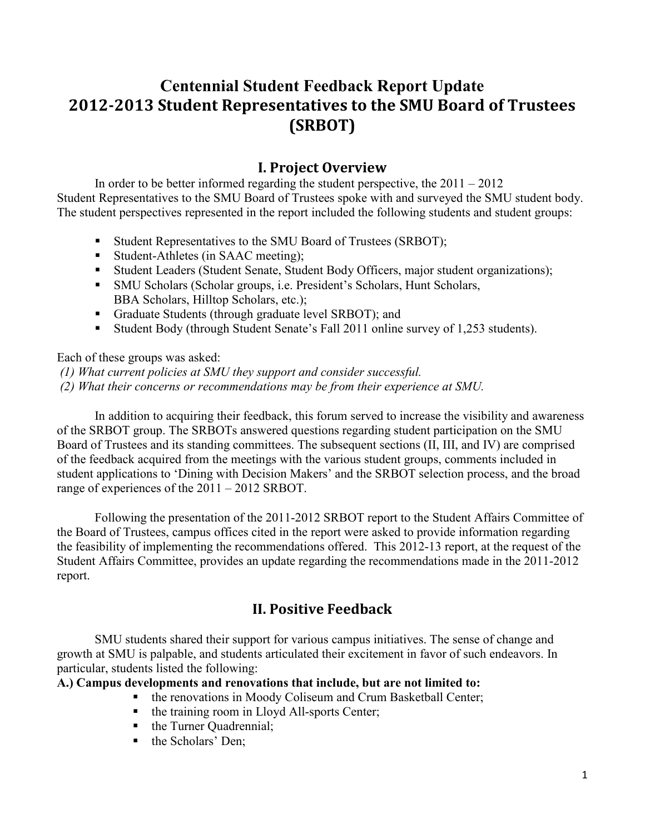# **Centennial Student Feedback Report Update 2012-2013 Student Representatives to the SMU Board of Trustees (SRBOT)**

# **I. Project Overview**

In order to be better informed regarding the student perspective, the  $2011 - 2012$ Student Representatives to the SMU Board of Trustees spoke with and surveyed the SMU student body. The student perspectives represented in the report included the following students and student groups:

- Student Representatives to the SMU Board of Trustees (SRBOT);
- Student-Athletes (in SAAC meeting);
- Student Leaders (Student Senate, Student Body Officers, major student organizations);
- SMU Scholars (Scholar groups, i.e. President's Scholars, Hunt Scholars, BBA Scholars, Hilltop Scholars, etc.);
- Graduate Students (through graduate level SRBOT); and
- Student Body (through Student Senate's Fall 2011 online survey of 1,253 students).

Each of these groups was asked:

 *(1) What current policies at SMU they support and consider successful. (2) What their concerns or recommendations may be from their experience at SMU.* 

In addition to acquiring their feedback, this forum served to increase the visibility and awareness of the SRBOT group. The SRBOTs answered questions regarding student participation on the SMU Board of Trustees and its standing committees. The subsequent sections (II, III, and IV) are comprised of the feedback acquired from the meetings with the various student groups, comments included in student applications to 'Dining with Decision Makers' and the SRBOT selection process, and the broad range of experiences of the 2011 – 2012 SRBOT.

Following the presentation of the 2011-2012 SRBOT report to the Student Affairs Committee of the Board of Trustees, campus offices cited in the report were asked to provide information regarding the feasibility of implementing the recommendations offered. This 2012-13 report, at the request of the Student Affairs Committee, provides an update regarding the recommendations made in the 2011-2012 report.

# **II. Positive Feedback**

SMU students shared their support for various campus initiatives. The sense of change and growth at SMU is palpable, and students articulated their excitement in favor of such endeavors. In particular, students listed the following:

## **A.) Campus developments and renovations that include, but are not limited to:**

- **the renovations in Moody Coliseum and Crum Basketball Center;**
- the training room in Lloyd All-sports Center;
- the Turner Quadrennial;
- the Scholars' Den;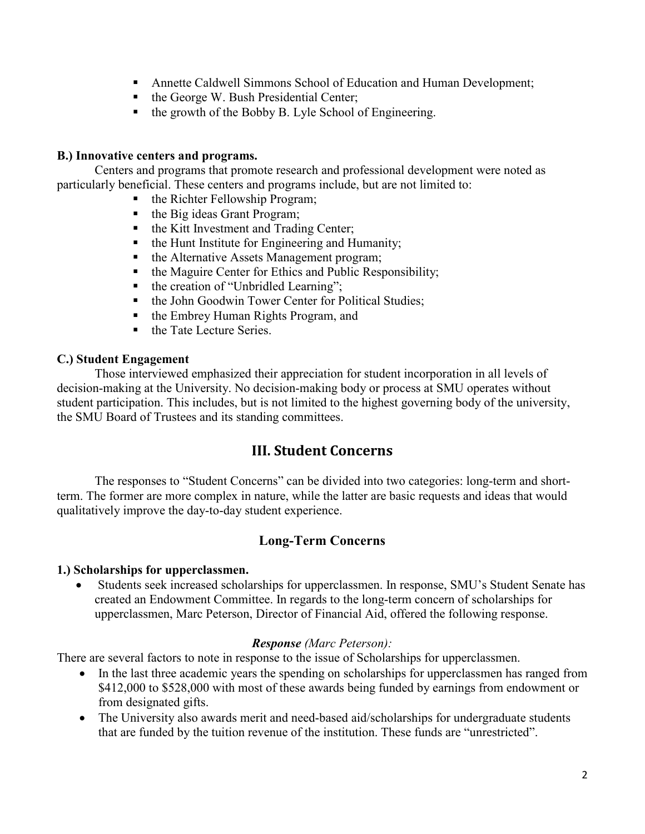- Annette Caldwell Simmons School of Education and Human Development;
- $\blacksquare$  the George W. Bush Presidential Center;
- $\blacksquare$  the growth of the Bobby B. Lyle School of Engineering.

## **B.) Innovative centers and programs.**

 Centers and programs that promote research and professional development were noted as particularly beneficial. These centers and programs include, but are not limited to:

- the Richter Fellowship Program;
- $\blacksquare$  the Big ideas Grant Program;
- the Kitt Investment and Trading Center;
- the Hunt Institute for Engineering and Humanity;<br>• the Alternative Assets Management program:
- the Alternative Assets Management program;
- the Maguire Center for Ethics and Public Responsibility;
- $\blacksquare$  the creation of "Unbridled Learning";
- the John Goodwin Tower Center for Political Studies;
- the Embrey Human Rights Program, and
- the Tate Lecture Series.

## **C.) Student Engagement**

 Those interviewed emphasized their appreciation for student incorporation in all levels of decision-making at the University. No decision-making body or process at SMU operates without student participation. This includes, but is not limited to the highest governing body of the university, the SMU Board of Trustees and its standing committees.

## **III. Student Concerns**

 The responses to "Student Concerns" can be divided into two categories: long-term and shortterm. The former are more complex in nature, while the latter are basic requests and ideas that would qualitatively improve the day-to-day student experience.

## **Long-Term Concerns**

## **1.) Scholarships for upperclassmen.**

• Students seek increased scholarships for upperclassmen. In response, SMU's Student Senate has created an Endowment Committee. In regards to the long-term concern of scholarships for upperclassmen, Marc Peterson, Director of Financial Aid, offered the following response.

## *Response (Marc Peterson):*

There are several factors to note in response to the issue of Scholarships for upperclassmen.

- In the last three academic years the spending on scholarships for upperclassmen has ranged from \$412,000 to \$528,000 with most of these awards being funded by earnings from endowment or from designated gifts.
- The University also awards merit and need-based aid/scholarships for undergraduate students that are funded by the tuition revenue of the institution. These funds are "unrestricted".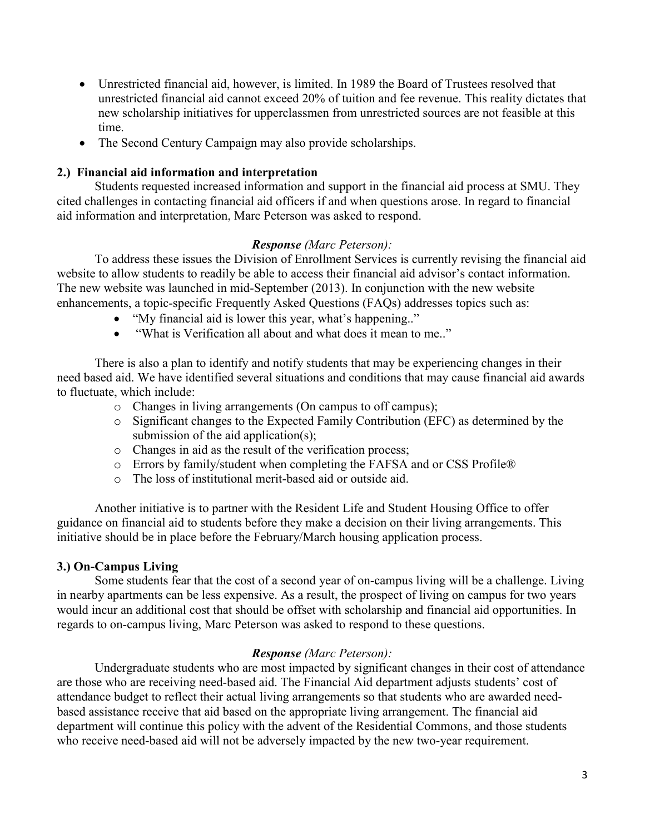- Unrestricted financial aid, however, is limited. In 1989 the Board of Trustees resolved that unrestricted financial aid cannot exceed 20% of tuition and fee revenue. This reality dictates that new scholarship initiatives for upperclassmen from unrestricted sources are not feasible at this time.
- The Second Century Campaign may also provide scholarships.

## **2.) Financial aid information and interpretation**

Students requested increased information and support in the financial aid process at SMU. They cited challenges in contacting financial aid officers if and when questions arose. In regard to financial aid information and interpretation, Marc Peterson was asked to respond.

## *Response (Marc Peterson):*

To address these issues the Division of Enrollment Services is currently revising the financial aid website to allow students to readily be able to access their financial aid advisor's contact information. The new website was launched in mid-September (2013). In conjunction with the new website enhancements, a topic-specific Frequently Asked Questions (FAQs) addresses topics such as:

- "My financial aid is lower this year, what's happening.."
- "What is Verification all about and what does it mean to me.."

There is also a plan to identify and notify students that may be experiencing changes in their need based aid. We have identified several situations and conditions that may cause financial aid awards to fluctuate, which include:

- o Changes in living arrangements (On campus to off campus);
- o Significant changes to the Expected Family Contribution (EFC) as determined by the submission of the aid application(s);
- o Changes in aid as the result of the verification process;
- o Errors by family/student when completing the FAFSA and or CSS Profile®
- o The loss of institutional merit-based aid or outside aid.

Another initiative is to partner with the Resident Life and Student Housing Office to offer guidance on financial aid to students before they make a decision on their living arrangements. This initiative should be in place before the February/March housing application process.

## **3.) On-Campus Living**

Some students fear that the cost of a second year of on-campus living will be a challenge. Living in nearby apartments can be less expensive. As a result, the prospect of living on campus for two years would incur an additional cost that should be offset with scholarship and financial aid opportunities. In regards to on-campus living, Marc Peterson was asked to respond to these questions.

## *Response (Marc Peterson):*

 Undergraduate students who are most impacted by significant changes in their cost of attendance are those who are receiving need-based aid. The Financial Aid department adjusts students' cost of attendance budget to reflect their actual living arrangements so that students who are awarded needbased assistance receive that aid based on the appropriate living arrangement. The financial aid department will continue this policy with the advent of the Residential Commons, and those students who receive need-based aid will not be adversely impacted by the new two-year requirement.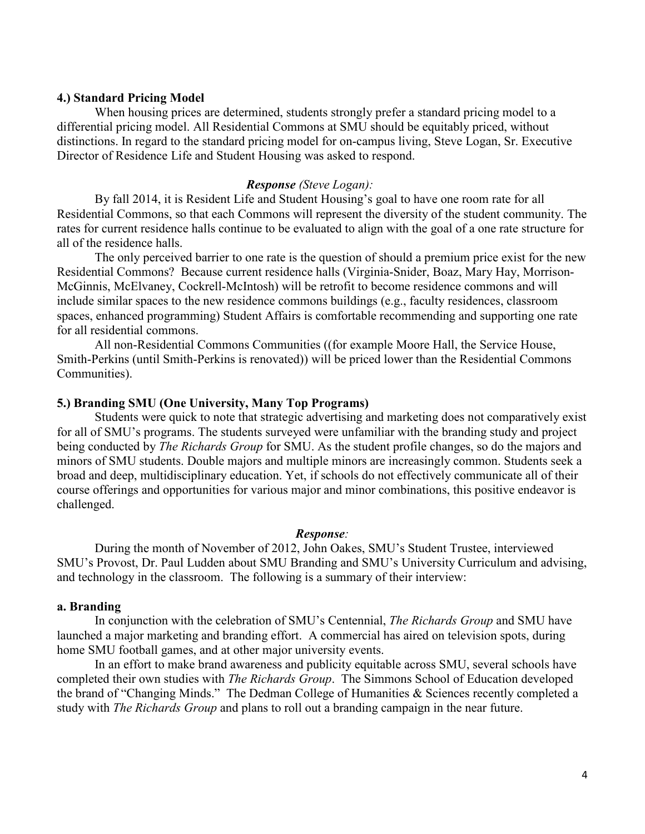#### **4.) Standard Pricing Model**

When housing prices are determined, students strongly prefer a standard pricing model to a differential pricing model. All Residential Commons at SMU should be equitably priced, without distinctions. In regard to the standard pricing model for on-campus living, Steve Logan, Sr. Executive Director of Residence Life and Student Housing was asked to respond.

#### *Response (Steve Logan):*

By fall 2014, it is Resident Life and Student Housing's goal to have one room rate for all Residential Commons, so that each Commons will represent the diversity of the student community. The rates for current residence halls continue to be evaluated to align with the goal of a one rate structure for all of the residence halls.

The only perceived barrier to one rate is the question of should a premium price exist for the new Residential Commons? Because current residence halls (Virginia-Snider, Boaz, Mary Hay, Morrison-McGinnis, McElvaney, Cockrell-McIntosh) will be retrofit to become residence commons and will include similar spaces to the new residence commons buildings (e.g., faculty residences, classroom spaces, enhanced programming) Student Affairs is comfortable recommending and supporting one rate for all residential commons.

All non-Residential Commons Communities ((for example Moore Hall, the Service House, Smith-Perkins (until Smith-Perkins is renovated)) will be priced lower than the Residential Commons Communities).

#### **5.) Branding SMU (One University, Many Top Programs)**

Students were quick to note that strategic advertising and marketing does not comparatively exist for all of SMU's programs. The students surveyed were unfamiliar with the branding study and project being conducted by *The Richards Group* for SMU. As the student profile changes, so do the majors and minors of SMU students. Double majors and multiple minors are increasingly common. Students seek a broad and deep, multidisciplinary education. Yet, if schools do not effectively communicate all of their course offerings and opportunities for various major and minor combinations, this positive endeavor is challenged.

#### *Response:*

During the month of November of 2012, John Oakes, SMU's Student Trustee, interviewed SMU's Provost, Dr. Paul Ludden about SMU Branding and SMU's University Curriculum and advising, and technology in the classroom. The following is a summary of their interview:

#### **a. Branding**

In conjunction with the celebration of SMU's Centennial, *The Richards Group* and SMU have launched a major marketing and branding effort. A commercial has aired on television spots, during home SMU football games, and at other major university events.

In an effort to make brand awareness and publicity equitable across SMU, several schools have completed their own studies with *The Richards Group*. The Simmons School of Education developed the brand of "Changing Minds." The Dedman College of Humanities & Sciences recently completed a study with *The Richards Group* and plans to roll out a branding campaign in the near future.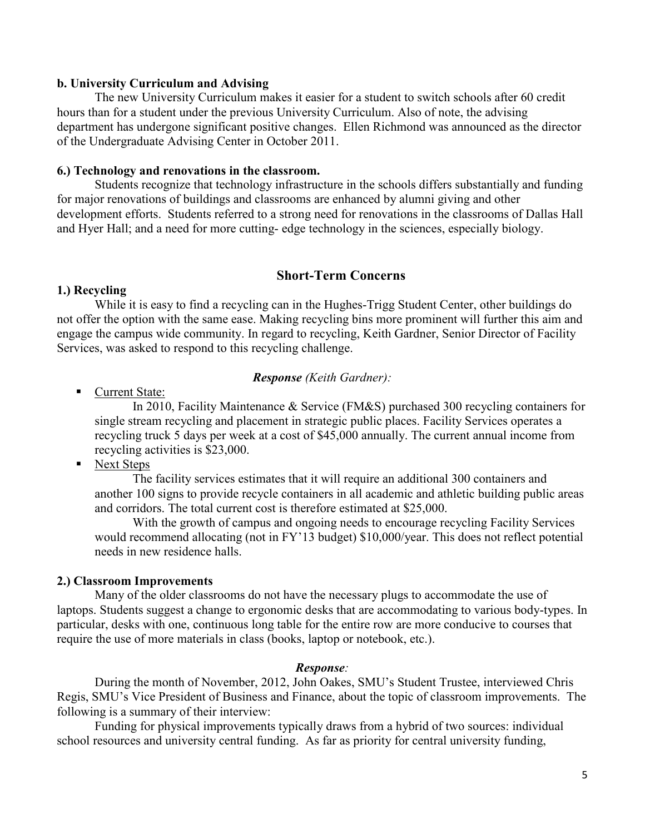#### **b. University Curriculum and Advising**

The new University Curriculum makes it easier for a student to switch schools after 60 credit hours than for a student under the previous University Curriculum. Also of note, the advising department has undergone significant positive changes. Ellen Richmond was announced as the director of the Undergraduate Advising Center in October 2011.

#### **6.) Technology and renovations in the classroom.**

Students recognize that technology infrastructure in the schools differs substantially and funding for major renovations of buildings and classrooms are enhanced by alumni giving and other development efforts. Students referred to a strong need for renovations in the classrooms of Dallas Hall and Hyer Hall; and a need for more cutting- edge technology in the sciences, especially biology.

#### **Short-Term Concerns**

#### **1.) Recycling**

While it is easy to find a recycling can in the Hughes-Trigg Student Center, other buildings do not offer the option with the same ease. Making recycling bins more prominent will further this aim and engage the campus wide community. In regard to recycling, Keith Gardner, Senior Director of Facility Services, was asked to respond to this recycling challenge.

#### *Response (Keith Gardner):*

Current State:

In 2010, Facility Maintenance & Service (FM&S) purchased 300 recycling containers for single stream recycling and placement in strategic public places. Facility Services operates a recycling truck 5 days per week at a cost of \$45,000 annually. The current annual income from recycling activities is \$23,000.

• Next Steps

The facility services estimates that it will require an additional 300 containers and another 100 signs to provide recycle containers in all academic and athletic building public areas and corridors. The total current cost is therefore estimated at \$25,000.

With the growth of campus and ongoing needs to encourage recycling Facility Services would recommend allocating (not in FY'13 budget) \$10,000/year. This does not reflect potential needs in new residence halls.

#### **2.) Classroom Improvements**

Many of the older classrooms do not have the necessary plugs to accommodate the use of laptops. Students suggest a change to ergonomic desks that are accommodating to various body-types. In particular, desks with one, continuous long table for the entire row are more conducive to courses that require the use of more materials in class (books, laptop or notebook, etc.).

#### *Response:*

During the month of November, 2012, John Oakes, SMU's Student Trustee, interviewed Chris Regis, SMU's Vice President of Business and Finance, about the topic of classroom improvements. The following is a summary of their interview:

Funding for physical improvements typically draws from a hybrid of two sources: individual school resources and university central funding. As far as priority for central university funding,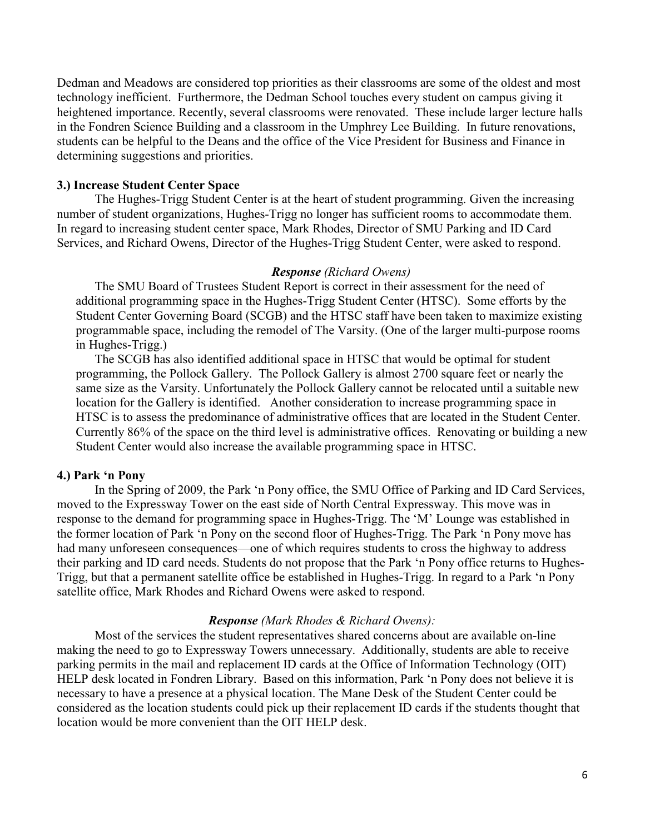Dedman and Meadows are considered top priorities as their classrooms are some of the oldest and most technology inefficient. Furthermore, the Dedman School touches every student on campus giving it heightened importance. Recently, several classrooms were renovated. These include larger lecture halls in the Fondren Science Building and a classroom in the Umphrey Lee Building. In future renovations, students can be helpful to the Deans and the office of the Vice President for Business and Finance in determining suggestions and priorities.

## **3.) Increase Student Center Space**

The Hughes-Trigg Student Center is at the heart of student programming. Given the increasing number of student organizations, Hughes-Trigg no longer has sufficient rooms to accommodate them. In regard to increasing student center space, Mark Rhodes, Director of SMU Parking and ID Card Services, and Richard Owens, Director of the Hughes-Trigg Student Center, were asked to respond.

#### *Response (Richard Owens)*

The SMU Board of Trustees Student Report is correct in their assessment for the need of additional programming space in the Hughes-Trigg Student Center (HTSC). Some efforts by the Student Center Governing Board (SCGB) and the HTSC staff have been taken to maximize existing programmable space, including the remodel of The Varsity. (One of the larger multi-purpose rooms in Hughes-Trigg.)

The SCGB has also identified additional space in HTSC that would be optimal for student programming, the Pollock Gallery. The Pollock Gallery is almost 2700 square feet or nearly the same size as the Varsity. Unfortunately the Pollock Gallery cannot be relocated until a suitable new location for the Gallery is identified. Another consideration to increase programming space in HTSC is to assess the predominance of administrative offices that are located in the Student Center. Currently 86% of the space on the third level is administrative offices. Renovating or building a new Student Center would also increase the available programming space in HTSC.

#### **4.) Park 'n Pony**

In the Spring of 2009, the Park 'n Pony office, the SMU Office of Parking and ID Card Services, moved to the Expressway Tower on the east side of North Central Expressway. This move was in response to the demand for programming space in Hughes-Trigg. The 'M' Lounge was established in the former location of Park 'n Pony on the second floor of Hughes-Trigg. The Park 'n Pony move has had many unforeseen consequences—one of which requires students to cross the highway to address their parking and ID card needs. Students do not propose that the Park 'n Pony office returns to Hughes-Trigg, but that a permanent satellite office be established in Hughes-Trigg. In regard to a Park 'n Pony satellite office, Mark Rhodes and Richard Owens were asked to respond.

#### *Response (Mark Rhodes & Richard Owens):*

Most of the services the student representatives shared concerns about are available on-line making the need to go to Expressway Towers unnecessary. Additionally, students are able to receive parking permits in the mail and replacement ID cards at the Office of Information Technology (OIT) HELP desk located in Fondren Library. Based on this information, Park 'n Pony does not believe it is necessary to have a presence at a physical location. The Mane Desk of the Student Center could be considered as the location students could pick up their replacement ID cards if the students thought that location would be more convenient than the OIT HELP desk.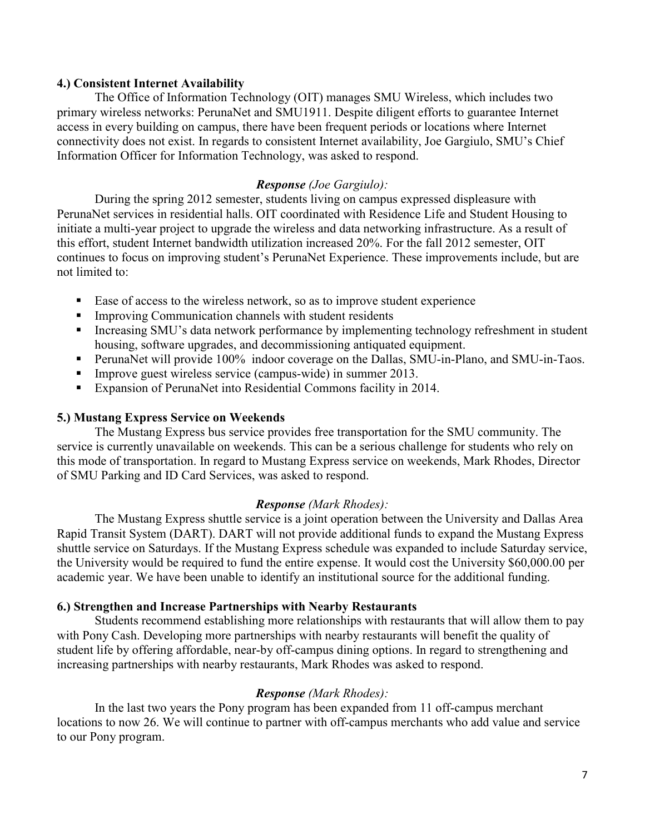#### **4.) Consistent Internet Availability**

The Office of Information Technology (OIT) manages SMU Wireless, which includes two primary wireless networks: PerunaNet and SMU1911. Despite diligent efforts to guarantee Internet access in every building on campus, there have been frequent periods or locations where Internet connectivity does not exist. In regards to consistent Internet availability, Joe Gargiulo, SMU's Chief Information Officer for Information Technology, was asked to respond.

## *Response (Joe Gargiulo):*

During the spring 2012 semester, students living on campus expressed displeasure with PerunaNet services in residential halls. OIT coordinated with Residence Life and Student Housing to initiate a multi-year project to upgrade the wireless and data networking infrastructure. As a result of this effort, student Internet bandwidth utilization increased 20%. For the fall 2012 semester, OIT continues to focus on improving student's PerunaNet Experience. These improvements include, but are not limited to:

- Ease of access to the wireless network, so as to improve student experience
- Improving Communication channels with student residents
- Increasing SMU's data network performance by implementing technology refreshment in student housing, software upgrades, and decommissioning antiquated equipment.
- **PerunaNet will provide 100% indoor coverage on the Dallas, SMU-in-Plano, and SMU-in-Taos.**
- Improve guest wireless service (campus-wide) in summer 2013.
- Expansion of PerunaNet into Residential Commons facility in 2014.

## **5.) Mustang Express Service on Weekends**

The Mustang Express bus service provides free transportation for the SMU community. The service is currently unavailable on weekends. This can be a serious challenge for students who rely on this mode of transportation. In regard to Mustang Express service on weekends, Mark Rhodes, Director of SMU Parking and ID Card Services, was asked to respond.

## *Response (Mark Rhodes):*

The Mustang Express shuttle service is a joint operation between the University and Dallas Area Rapid Transit System (DART). DART will not provide additional funds to expand the Mustang Express shuttle service on Saturdays. If the Mustang Express schedule was expanded to include Saturday service, the University would be required to fund the entire expense. It would cost the University \$60,000.00 per academic year. We have been unable to identify an institutional source for the additional funding.

#### **6.) Strengthen and Increase Partnerships with Nearby Restaurants**

Students recommend establishing more relationships with restaurants that will allow them to pay with Pony Cash. Developing more partnerships with nearby restaurants will benefit the quality of student life by offering affordable, near-by off-campus dining options. In regard to strengthening and increasing partnerships with nearby restaurants, Mark Rhodes was asked to respond.

## *Response (Mark Rhodes):*

 In the last two years the Pony program has been expanded from 11 off-campus merchant locations to now 26. We will continue to partner with off-campus merchants who add value and service to our Pony program.